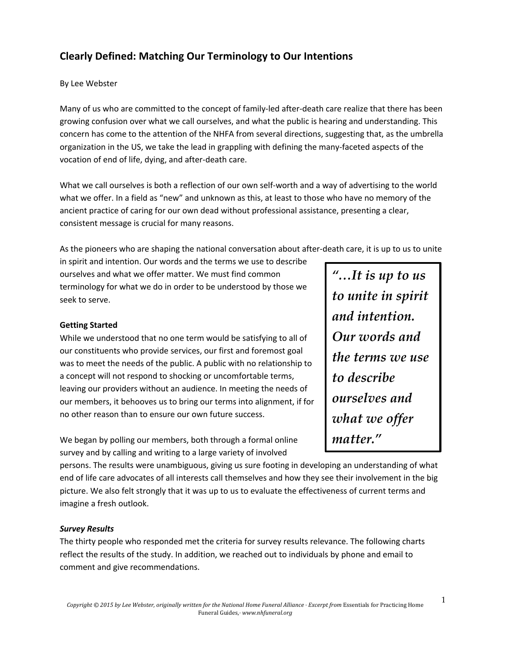# **Clearly Defined: Matching Our Terminology to Our Intentions**

### By Lee Webster

Many of us who are committed to the concept of family-led after-death care realize that there has been growing confusion over what we call ourselves, and what the public is hearing and understanding. This concern has come to the attention of the NHFA from several directions, suggesting that, as the umbrella organization in the US, we take the lead in grappling with defining the many-faceted aspects of the vocation of end of life, dying, and after-death care.

What we call ourselves is both a reflection of our own self-worth and a way of advertising to the world what we offer. In a field as "new" and unknown as this, at least to those who have no memory of the ancient practice of caring for our own dead without professional assistance, presenting a clear, consistent message is crucial for many reasons.

As the pioneers who are shaping the national conversation about after-death care, it is up to us to unite

in spirit and intention. Our words and the terms we use to describe ourselves and what we offer matter. We must find common terminology for what we do in order to be understood by those we seek to serve.

### **Getting Started**

While we understood that no one term would be satisfying to all of our constituents who provide services, our first and foremost goal was to meet the needs of the public. A public with no relationship to a concept will not respond to shocking or uncomfortable terms, leaving our providers without an audience. In meeting the needs of our members, it behooves us to bring our terms into alignment, if for no other reason than to ensure our own future success.

We began by polling our members, both through a formal online survey and by calling and writing to a large variety of involved

*"…It is up to us to unite in spirit and intention. Our words and the terms we use to describe ourselves and what we offer matter."*

persons. The results were unambiguous, giving us sure footing in developing an understanding of what end of life care advocates of all interests call themselves and how they see their involvement in the big picture. We also felt strongly that it was up to us to evaluate the effectiveness of current terms and imagine a fresh outlook.

### *Survey Results*

The thirty people who responded met the criteria for survey results relevance. The following charts reflect the results of the study. In addition, we reached out to individuals by phone and email to comment and give recommendations.

1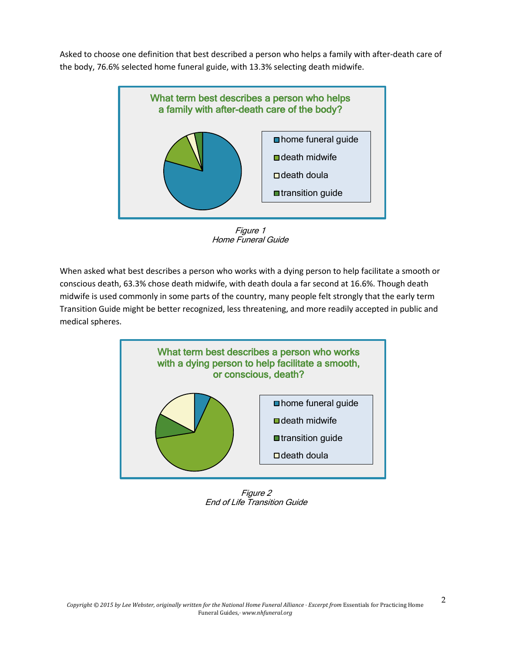Asked to choose one definition that best described a person who helps a family with after-death care of the body, 76.6% selected home funeral guide, with 13.3% selecting death midwife.



Figure 1 Home Funeral Guide

When asked what best describes a person who works with a dying person to help facilitate a smooth or conscious death, 63.3% chose death midwife, with death doula a far second at 16.6%. Though death midwife is used commonly in some parts of the country, many people felt strongly that the early term Transition Guide might be better recognized, less threatening, and more readily accepted in public and medical spheres.



Figure 2 End of Life Transition Guide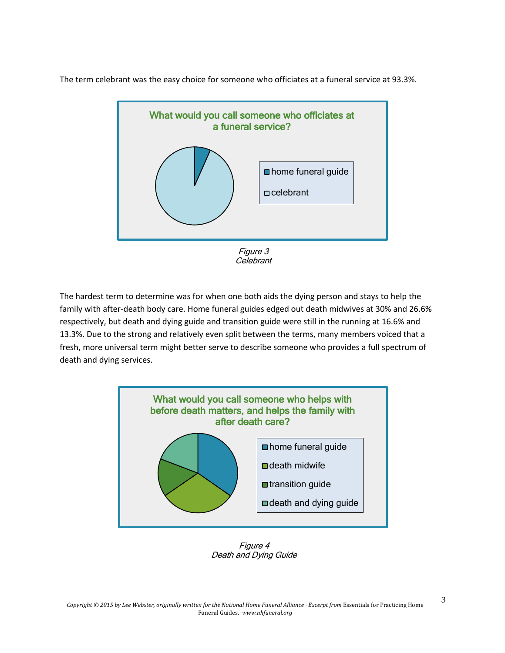The term celebrant was the easy choice for someone who officiates at a funeral service at 93.3%.



Celebrant

The hardest term to determine was for when one both aids the dying person and stays to help the family with after-death body care. Home funeral guides edged out death midwives at 30% and 26.6% respectively, but death and dying guide and transition guide were still in the running at 16.6% and 13.3%. Due to the strong and relatively even split between the terms, many members voiced that a fresh, more universal term might better serve to describe someone who provides a full spectrum of death and dying services.



Figure 4 Death and Dying Guide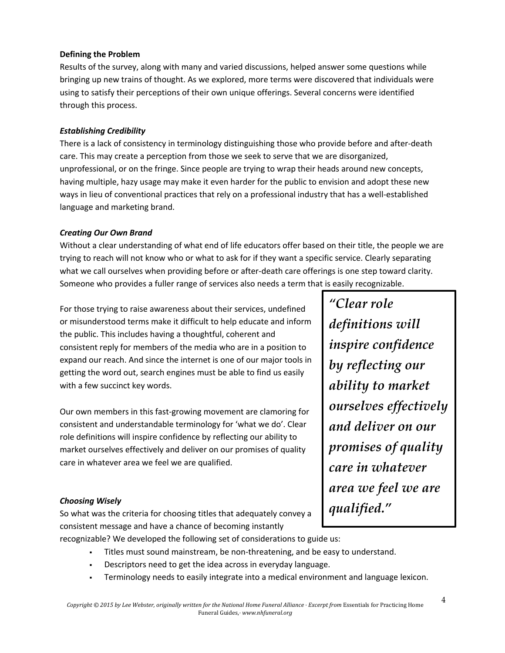### **Defining the Problem**

Results of the survey, along with many and varied discussions, helped answer some questions while bringing up new trains of thought. As we explored, more terms were discovered that individuals were using to satisfy their perceptions of their own unique offerings. Several concerns were identified through this process.

### *Establishing Credibility*

There is a lack of consistency in terminology distinguishing those who provide before and after-death care. This may create a perception from those we seek to serve that we are disorganized, unprofessional, or on the fringe. Since people are trying to wrap their heads around new concepts, having multiple, hazy usage may make it even harder for the public to envision and adopt these new ways in lieu of conventional practices that rely on a professional industry that has a well-established language and marketing brand.

### *Creating Our Own Brand*

Without a clear understanding of what end of life educators offer based on their title, the people we are trying to reach will not know who or what to ask for if they want a specific service. Clearly separating what we call ourselves when providing before or after-death care offerings is one step toward clarity. Someone who provides a fuller range of services also needs a term that is easily recognizable.

For those trying to raise awareness about their services, undefined or misunderstood terms make it difficult to help educate and inform the public. This includes having a thoughtful, coherent and consistent reply for members of the media who are in a position to expand our reach. And since the internet is one of our major tools in getting the word out, search engines must be able to find us easily with a few succinct key words.

Our own members in this fast-growing movement are clamoring for consistent and understandable terminology for 'what we do'. Clear role definitions will inspire confidence by reflecting our ability to market ourselves effectively and deliver on our promises of quality care in whatever area we feel we are qualified.

### *Choosing Wisely*

So what was the criteria for choosing titles that adequately convey a consistent message and have a chance of becoming instantly

*"Clear role definitions will inspire confidence by reflecting our ability to market ourselves effectively and deliver on our promises of quality care in whatever area we feel we are qualified."*

recognizable? We developed the following set of considerations to guide us:

- § Titles must sound mainstream, be non-threatening, and be easy to understand.
- § Descriptors need to get the idea across in everyday language.
- Terminology needs to easily integrate into a medical environment and language lexicon.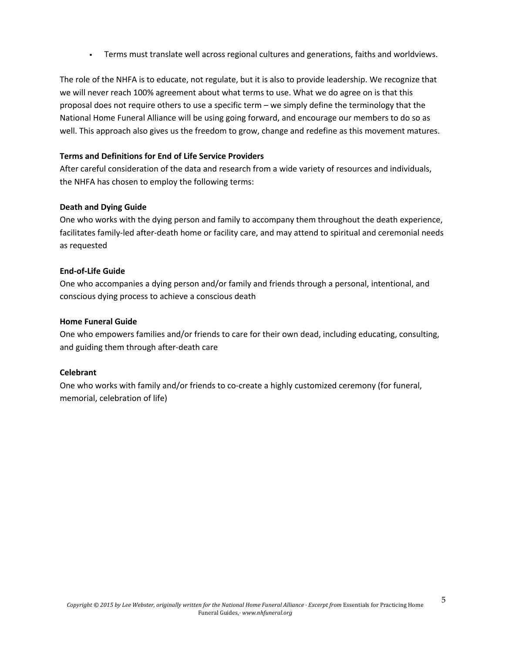§ Terms must translate well across regional cultures and generations, faiths and worldviews.

The role of the NHFA is to educate, not regulate, but it is also to provide leadership. We recognize that we will never reach 100% agreement about what terms to use. What we do agree on is that this proposal does not require others to use a specific term – we simply define the terminology that the National Home Funeral Alliance will be using going forward, and encourage our members to do so as well. This approach also gives us the freedom to grow, change and redefine as this movement matures.

#### **Terms and Definitions for End of Life Service Providers**

After careful consideration of the data and research from a wide variety of resources and individuals, the NHFA has chosen to employ the following terms:

#### **Death and Dying Guide**

One who works with the dying person and family to accompany them throughout the death experience, facilitates family-led after-death home or facility care, and may attend to spiritual and ceremonial needs as requested

#### **End-of-Life Guide**

One who accompanies a dying person and/or family and friends through a personal, intentional, and conscious dying process to achieve a conscious death

#### **Home Funeral Guide**

One who empowers families and/or friends to care for their own dead, including educating, consulting, and guiding them through after-death care

#### **Celebrant**

One who works with family and/or friends to co-create a highly customized ceremony (for funeral, memorial, celebration of life)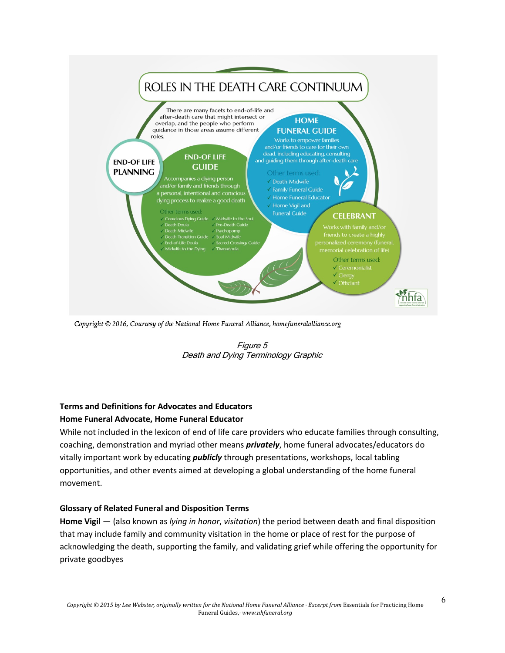

Copyright © 2016, Courtesy of the National Home Funeral Alliance, homefuneralalliance.org



## **Terms and Definitions for Advocates and Educators**

### **Home Funeral Advocate, Home Funeral Educator**

While not included in the lexicon of end of life care providers who educate families through consulting, coaching, demonstration and myriad other means *privately*, home funeral advocates/educators do vitally important work by educating *publicly* through presentations, workshops, local tabling opportunities, and other events aimed at developing a global understanding of the home funeral movement.

### **Glossary of Related Funeral and Disposition Terms**

**Home Vigil** — (also known as *lying in honor*, *visitation*) the period between death and final disposition that may include family and community visitation in the home or place of rest for the purpose of acknowledging the death, supporting the family, and validating grief while offering the opportunity for private goodbyes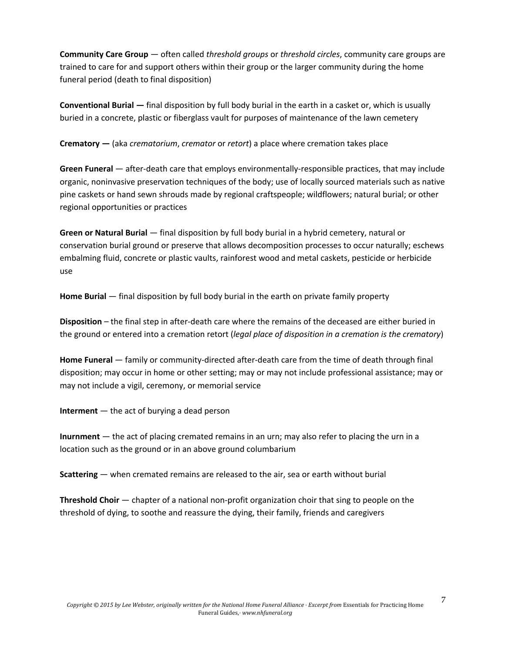**Community Care Group** — often called *threshold groups* or *threshold circles*, community care groups are trained to care for and support others within their group or the larger community during the home funeral period (death to final disposition)

**Conventional Burial —** final disposition by full body burial in the earth in a casket or, which is usually buried in a concrete, plastic or fiberglass vault for purposes of maintenance of the lawn cemetery

**Crematory —** (aka *crematorium*, *cremator* or *retort*) a place where cremation takes place

**Green Funeral** — after-death care that employs environmentally-responsible practices, that may include organic, noninvasive preservation techniques of the body; use of locally sourced materials such as native pine caskets or hand sewn shrouds made by regional craftspeople; wildflowers; natural burial; or other regional opportunities or practices

**Green or Natural Burial** — final disposition by full body burial in a hybrid cemetery, natural or conservation burial ground or preserve that allows decomposition processes to occur naturally; eschews embalming fluid, concrete or plastic vaults, rainforest wood and metal caskets, pesticide or herbicide use

**Home Burial** — final disposition by full body burial in the earth on private family property

**Disposition** *–* the final step in after-death care where the remains of the deceased are either buried in the ground or entered into a cremation retort (*legal place of disposition in a cremation is the crematory*)

**Home Funeral** — family or community-directed after-death care from the time of death through final disposition; may occur in home or other setting; may or may not include professional assistance; may or may not include a vigil, ceremony, or memorial service

**Interment** — the act of burying a dead person

**Inurnment** — the act of placing cremated remains in an urn; may also refer to placing the urn in a location such as the ground or in an above ground columbarium

**Scattering** — when cremated remains are released to the air, sea or earth without burial

**Threshold Choir** — chapter of a national non-profit organization choir that sing to people on the threshold of dying, to soothe and reassure the dying, their family, friends and caregivers